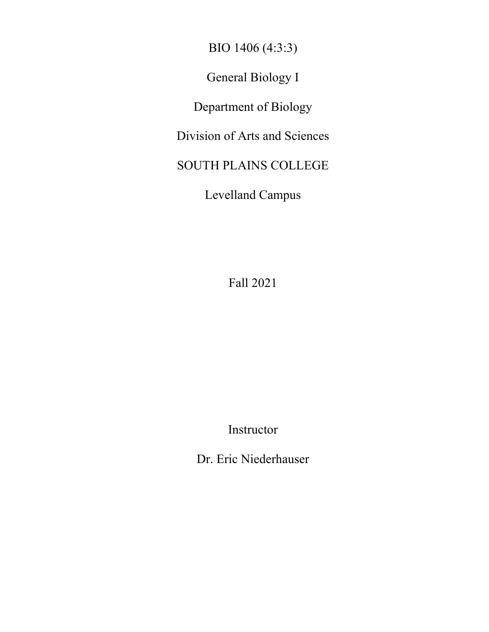BIO 1406 (4:3:3)

General Biology I

Department of Biology

Division of Arts and Sciences

SOUTH PLAINS COLLEGE

Levelland Campus

Fall 2021

Instructor

Dr. Eric Niederhauser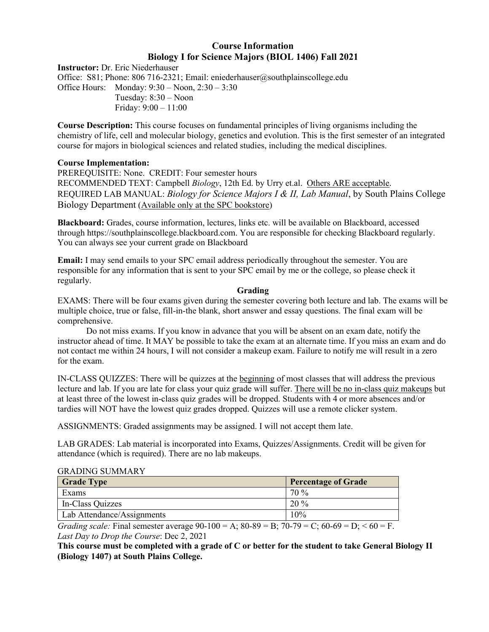# **Course Information Biology I for Science Majors (BIOL 1406) Fall 2021**

**Instructor:** Dr. Eric Niederhauser Office: S81; Phone: 806 716-2321; Email: eniederhauser@southplainscollege.edu Office Hours: Monday: 9:30 – Noon, 2:30 – 3:30 Tuesday: 8:30 – Noon Friday: 9:00 – 11:00

**Course Description:** This course focuses on fundamental principles of living organisms including the chemistry of life, cell and molecular biology, genetics and evolution. This is the first semester of an integrated course for majors in biological sciences and related studies, including the medical disciplines.

### **Course Implementation:**

PREREQUISITE: None. CREDIT: Four semester hours RECOMMENDED TEXT: Campbell *Biology*, 12th Ed. by Urry et.al. Others ARE acceptable. REQUIRED LAB MANUAL: *Biology for Science Majors I & II, Lab Manual*, by South Plains College Biology Department (Available only at the SPC bookstore)

**Blackboard:** Grades, course information, lectures, links etc. will be available on Blackboard, accessed through https://southplainscollege.blackboard.com. You are responsible for checking Blackboard regularly. You can always see your current grade on Blackboard

**Email:** I may send emails to your SPC email address periodically throughout the semester. You are responsible for any information that is sent to your SPC email by me or the college, so please check it regularly.

### **Grading**

EXAMS: There will be four exams given during the semester covering both lecture and lab. The exams will be multiple choice, true or false, fill-in-the blank, short answer and essay questions. The final exam will be comprehensive.

Do not miss exams. If you know in advance that you will be absent on an exam date, notify the instructor ahead of time. It MAY be possible to take the exam at an alternate time. If you miss an exam and do not contact me within 24 hours, I will not consider a makeup exam. Failure to notify me will result in a zero for the exam.

IN-CLASS QUIZZES: There will be quizzes at the beginning of most classes that will address the previous lecture and lab. If you are late for class your quiz grade will suffer. There will be no in-class quiz makeups but at least three of the lowest in-class quiz grades will be dropped. Students with 4 or more absences and/or tardies will NOT have the lowest quiz grades dropped. Quizzes will use a remote clicker system.

ASSIGNMENTS: Graded assignments may be assigned. I will not accept them late.

LAB GRADES: Lab material is incorporated into Exams, Quizzes/Assignments. Credit will be given for attendance (which is required). There are no lab makeups.

### GRADING SUMMARY

| <b>Grade Type</b>          | <b>Percentage of Grade</b> |
|----------------------------|----------------------------|
| Exams                      | 70 %                       |
| In-Class Quizzes           | $20\%$                     |
| Lab Attendance/Assignments | 10%                        |

*Grading scale:* Final semester average  $90-100 = A$ ;  $80-89 = B$ ;  $70-79 = C$ ;  $60-69 = D$ ;  $60 = F$ . *Last Day to Drop the Course*: Dec 2, 2021

**This course must be completed with a grade of C or better for the student to take General Biology II (Biology 1407) at South Plains College.**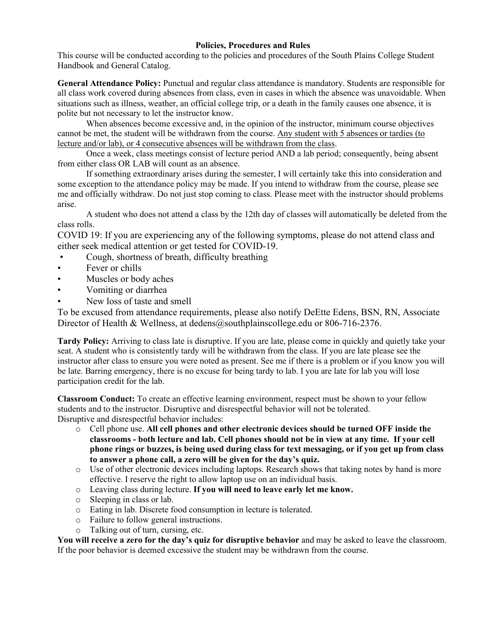## **Policies, Procedures and Rules**

This course will be conducted according to the policies and procedures of the South Plains College Student Handbook and General Catalog.

**General Attendance Policy:** Punctual and regular class attendance is mandatory. Students are responsible for all class work covered during absences from class, even in cases in which the absence was unavoidable. When situations such as illness, weather, an official college trip, or a death in the family causes one absence, it is polite but not necessary to let the instructor know.

When absences become excessive and, in the opinion of the instructor, minimum course objectives cannot be met, the student will be withdrawn from the course. Any student with 5 absences or tardies (to lecture and/or lab), or 4 consecutive absences will be withdrawn from the class.

Once a week, class meetings consist of lecture period AND a lab period; consequently, being absent from either class OR LAB will count as an absence.

If something extraordinary arises during the semester, I will certainly take this into consideration and some exception to the attendance policy may be made. If you intend to withdraw from the course, please see me and officially withdraw. Do not just stop coming to class. Please meet with the instructor should problems arise.

A student who does not attend a class by the 12th day of classes will automatically be deleted from the class rolls.

COVID 19: If you are experiencing any of the following symptoms, please do not attend class and either seek medical attention or get tested for COVID-19.

- Cough, shortness of breath, difficulty breathing
- Fever or chills
- Muscles or body aches
- Vomiting or diarrhea
- New loss of taste and smell

To be excused from attendance requirements, please also notify DeEtte Edens, BSN, RN, Associate Director of Health & Wellness, at dedens@southplainscollege.edu or 806-716-2376.

**Tardy Policy:** Arriving to class late is disruptive. If you are late, please come in quickly and quietly take your seat. A student who is consistently tardy will be withdrawn from the class. If you are late please see the instructor after class to ensure you were noted as present. See me if there is a problem or if you know you will be late. Barring emergency, there is no excuse for being tardy to lab. I you are late for lab you will lose participation credit for the lab.

**Classroom Conduct:** To create an effective learning environment, respect must be shown to your fellow students and to the instructor. Disruptive and disrespectful behavior will not be tolerated. Disruptive and disrespectful behavior includes:

- o Cell phone use. **All cell phones and other electronic devices should be turned OFF inside the classrooms - both lecture and lab. Cell phones should not be in view at any time. If your cell phone rings or buzzes, is being used during class for text messaging, or if you get up from class to answer a phone call, a zero will be given for the day's quiz.**
- o Use of other electronic devices including laptops. Research shows that taking notes by hand is more effective. I reserve the right to allow laptop use on an individual basis.
- o Leaving class during lecture. **If you will need to leave early let me know.**
- o Sleeping in class or lab.
- o Eating in lab. Discrete food consumption in lecture is tolerated.
- o Failure to follow general instructions.
- o Talking out of turn, cursing, etc.

**You will receive a zero for the day's quiz for disruptive behavior** and may be asked to leave the classroom. If the poor behavior is deemed excessive the student may be withdrawn from the course.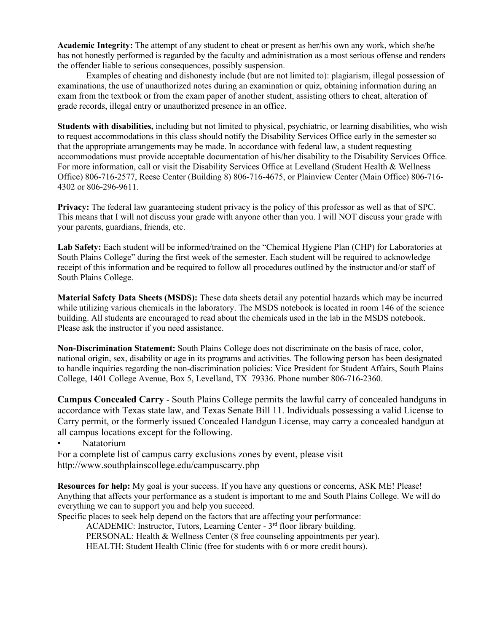**Academic Integrity:** The attempt of any student to cheat or present as her/his own any work, which she/he has not honestly performed is regarded by the faculty and administration as a most serious offense and renders the offender liable to serious consequences, possibly suspension.

Examples of cheating and dishonesty include (but are not limited to): plagiarism, illegal possession of examinations, the use of unauthorized notes during an examination or quiz, obtaining information during an exam from the textbook or from the exam paper of another student, assisting others to cheat, alteration of grade records, illegal entry or unauthorized presence in an office.

**Students with disabilities,** including but not limited to physical, psychiatric, or learning disabilities, who wish to request accommodations in this class should notify the Disability Services Office early in the semester so that the appropriate arrangements may be made. In accordance with federal law, a student requesting accommodations must provide acceptable documentation of his/her disability to the Disability Services Office. For more information, call or visit the Disability Services Office at Levelland (Student Health & Wellness Office) 806-716-2577, Reese Center (Building 8) 806-716-4675, or Plainview Center (Main Office) 806-716- 4302 or 806-296-9611.

**Privacy:** The federal law guaranteeing student privacy is the policy of this professor as well as that of SPC. This means that I will not discuss your grade with anyone other than you. I will NOT discuss your grade with your parents, guardians, friends, etc.

**Lab Safety:** Each student will be informed/trained on the "Chemical Hygiene Plan (CHP) for Laboratories at South Plains College" during the first week of the semester. Each student will be required to acknowledge receipt of this information and be required to follow all procedures outlined by the instructor and/or staff of South Plains College.

**Material Safety Data Sheets (MSDS):** These data sheets detail any potential hazards which may be incurred while utilizing various chemicals in the laboratory. The MSDS notebook is located in room 146 of the science building. All students are encouraged to read about the chemicals used in the lab in the MSDS notebook. Please ask the instructor if you need assistance.

**Non-Discrimination Statement:** South Plains College does not discriminate on the basis of race, color, national origin, sex, disability or age in its programs and activities. The following person has been designated to handle inquiries regarding the non-discrimination policies: Vice President for Student Affairs, South Plains College, 1401 College Avenue, Box 5, Levelland, TX 79336. Phone number 806-716-2360.

**Campus Concealed Carry** - South Plains College permits the lawful carry of concealed handguns in accordance with Texas state law, and Texas Senate Bill 11. Individuals possessing a valid License to Carry permit, or the formerly issued Concealed Handgun License, may carry a concealed handgun at all campus locations except for the following.

• Natatorium

For a complete list of campus carry exclusions zones by event, please visit http://www.southplainscollege.edu/campuscarry.php

**Resources for help:** My goal is your success. If you have any questions or concerns, ASK ME! Please! Anything that affects your performance as a student is important to me and South Plains College. We will do everything we can to support you and help you succeed.

Specific places to seek help depend on the factors that are affecting your performance:

ACADEMIC: Instructor, Tutors, Learning Center - 3<sup>rd</sup> floor library building.

PERSONAL: Health & Wellness Center (8 free counseling appointments per year).

HEALTH: Student Health Clinic (free for students with 6 or more credit hours).